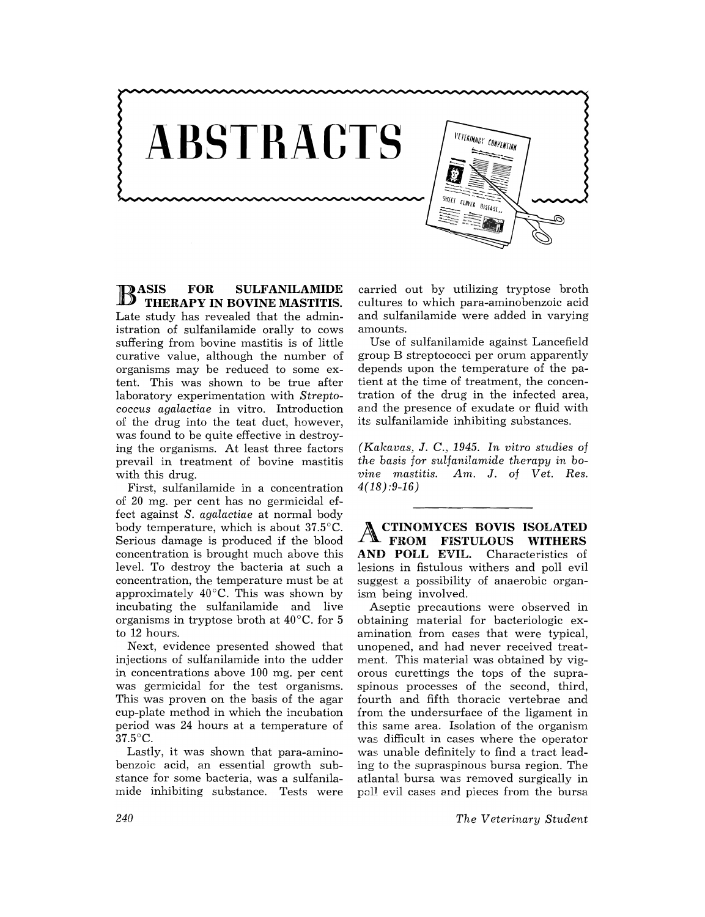

B ASIS **FOR SULFANILAMIDE THERAPY IN BOVINE MASTITIS.**  Late study has revealed that the administration of sulfanilamide orally to cows suffering from bovine mastitis is of little curative value, although the number of organisms may be reduced to some extent. This was shown to be true after laboratory experimentation with *Strepto*coccus *agalactiae* in vitro. Introduction of the drug into the teat duct, however, was found to be quite effective in destroying the organisms. At least three factors prevail in treatment of bovine mastitis with this drug.

First, sulfanilamide in a concentration of 20 mg. per cent has no germicidal effect against *S. agalactiae* at normal body body temperature, which is about 37.5°C. Serious damage is produced if the blood concentration is brought much above this level. To destroy the bacteria at such a concentration, the temperature must be at approximately 40°C. This was shown by incubating the sulfanilamide and live organisms in tryptose broth at 40°C. for 5 to 12 hours.

Next, evidence presented showed that injections of sulfanilamide into the udder in concentrations above 100 mg. per cent was germicidal for the test organisms. This was proven on the basis of the agar cup-plate method in which the incubation period was 24 hours at a temperature of 37.5°C.

Lastly, it was shown that para-aminobenzoic acid, an essential growth substance for some bacteria, was a sulfanilamide inhibiting substance. Tests were

carried out by utilizing tryptose broth cultures to which para-aminobenzoic acid and sulfanilamide were added in varying amounts.

Use of sulfanilamide against Lancefield group B streptococci per orum apparently depends upon the temperature of the patient at the time of treatment, the concentration of the drug in the infected area, and the presence of exudate or fluid with its sulfanilamide inhibiting substances.

*(Kakavas,* J. *C.,* 1945. *In vitro studies of the basis for sulfanilamide therapy in bovine mastitis.* Am. J. of *Vet. Res.*   $4(18):9-16$ 

ACTINOMYCES **HOVIS ISOLATED FROM FISTULOUS WITHERS AND POLL** EVIL. Characteristics of lesions in fistulous withers and poll evil suggest a possibility of anaerobic organism being involved.

Aseptic precautions were observed in obtaining material for bacteriologic examination from cases that were typical, unopened, and had never received treatment. This material was obtained by vigorous curettings the tops of the supraspinous processes of the second, third, fourth and fifth thoracic vertebrae and from the undersurface of the ligament in this same area. Isolation of the organism was difficult in cases where the operator was unable definitely to find a tract leading to the supraspinous bursa region. The atlanta} bursa was removed surgically in poll evil cases and pieces from the bursa

*The Veterinary Student*